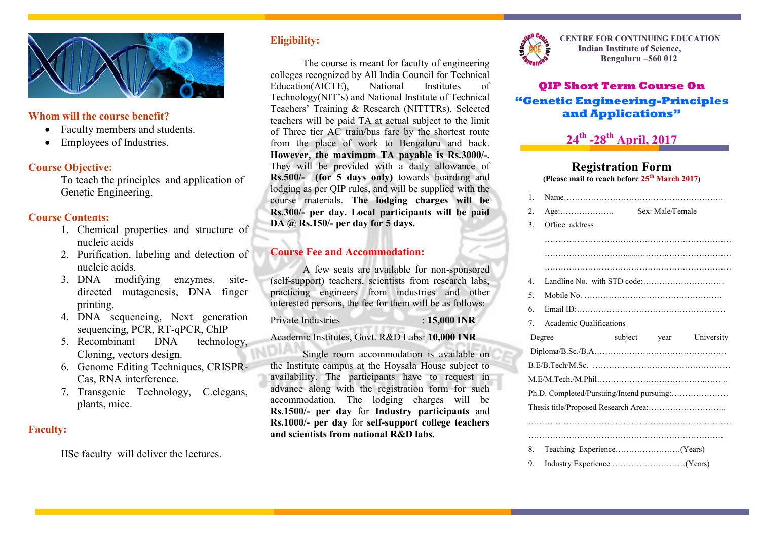

### **Whom will the course benefit?**

- Faculty members and students.
- Employees of Industries.

## **Course Objective:**

To teach the principles and application of Genetic Engineering.

## **Course Contents:**

- 1. Chemical properties and structure of nucleic acids
- 2. Purification, labeling and detection of nucleic acids.
- 3. DNA modifying enzymes, sitedirected mutagenesis, DNA finger printing.
- 4. DNA sequencing, Next generation sequencing, PCR, RT-qPCR, ChIP
- 5. Recombinant DNA technology, Cloning, vectors design.
- 6. Genome Editing Techniques, CRISPR-Cas, RNA interference.
- 7. Transgenic Technology, C.elegans, plants, mice.

# **Faculty:**

IISc faculty will deliver the lectures.

# **Eligibility:**

The course is meant for faculty of engineering colleges recognized by All India Council for Technical Education(AICTE), National Institutes of Technology(NIT's) and National Institute of Technical Teachers' Training & Research (NITTTRs). Selected teachers will be paid TA at actual subject to the limit of Three tier AC train/bus fare by the shortest route from the place of work to Bengaluru and back. **However, the maximum TA payable is Rs.3000/-.** They will be provided with a daily allowance of **Rs.500/- (for 5 days only)** towards boarding and lodging as per QIP rules, and will be supplied with the course materials. **The lodging charges will be Rs.300/- per day. Local participants will be paid DA @ Rs.150/- per day for 5 days.**

# **Course Fee and Accommodation:**

A few seats are available for non-sponsored (self-support) teachers, scientists from research labs, practicing engineers from industries and other interested persons, the fee for them will be as follows:

Private Industries : **15,000 INR**

Academic Institutes, Govt. R&D Labs: **10,000 INR**

Single room accommodation is available on the Institute campus at the Hoysala House subject to availability. The participants have to request in advance along with the registration form for such accommodation. The lodging charges will be **Rs.1500/- per day** for **Industry participants** and **Rs.1000/- per day** for **self-support college teachers and scientists from national R&D labs.**



**CENTRE FOR CONTINUING EDUCATION Indian Institute of Science, Bengaluru –560 012**

# **QIP Short Term Course On "Genetic Engineering-Principles and Applications"**

# **24th -28th April, 2017**

#### **Registration Form (Please mail to reach before 25th March 2017)**

| $\mathbf{1}$     |                                           |  |                  |            |  |  |
|------------------|-------------------------------------------|--|------------------|------------|--|--|
| $\overline{2}$ . | $Age: \ldots \ldots \ldots \ldots \ldots$ |  | Sex: Male/Female |            |  |  |
| 3.               | Office address                            |  |                  |            |  |  |
|                  |                                           |  |                  |            |  |  |
|                  |                                           |  |                  |            |  |  |
|                  |                                           |  |                  |            |  |  |
| 4                |                                           |  |                  |            |  |  |
| 5.               |                                           |  |                  |            |  |  |
| 6                |                                           |  |                  |            |  |  |
| 7.               | <b>Academic Qualifications</b>            |  |                  |            |  |  |
|                  | Degree                                    |  | subject year     | University |  |  |
|                  |                                           |  |                  |            |  |  |
|                  |                                           |  |                  |            |  |  |
|                  |                                           |  |                  |            |  |  |
|                  | Ph.D. Completed/Pursuing/Intend pursuing: |  |                  |            |  |  |
|                  |                                           |  |                  |            |  |  |
|                  |                                           |  |                  |            |  |  |
|                  |                                           |  |                  |            |  |  |
|                  |                                           |  |                  |            |  |  |
| 8.               |                                           |  |                  |            |  |  |